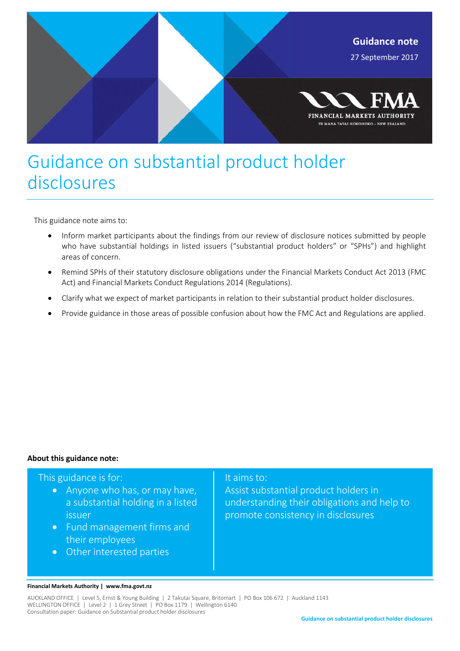

## Guidance on substantial product holder disclosures

This guidance note aims to:

- Inform market participants about the findings from our review of disclosure notices submitted by people who have substantial holdings in listed issuers ("substantial product holders" or "SPHs") and highlight areas of concern.
- Remind SPHs of their statutory disclosure obligations under the Financial Markets Conduct Act 2013 (FMC Act) and Financial Markets Conduct Regulations 2014 (Regulations).
- Clarify what we expect of market participants in relation to their substantial product holder disclosures.
- Provide guidance in those areas of possible confusion about how the FMC Act and Regulations are applied.

#### **About this guidance note:**

#### This guidance is for:

- Anyone who has, or may have, a substantial holding in a listed issuer
- Fund management firms and their employees
- Other interested parties

#### It aims to:

Assist substantial product holders in understanding their obligations and help to promote consistency in disclosures

#### **Financial Markets Authority | www.fma.govt.nz**

AUCKLAND OFFICE | Level 5, Ernst & Young Building | 2 Takutai Square, Britomart | PO Box 106 672 | Auckland 1143 WELLINGTON OFFICE | Level 2 | 1 Grey Street | PO Box 1179 | Wellington 6140 Consultation paper: Guidance on Substantial product holder disclosures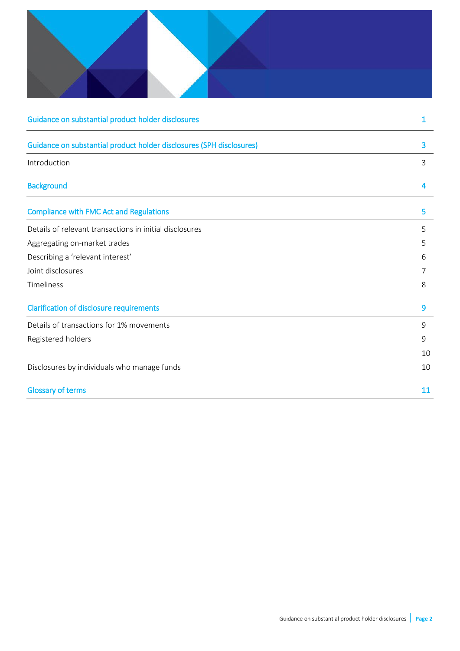| Guidance on substantial product holder disclosures                   | 1           |
|----------------------------------------------------------------------|-------------|
| Guidance on substantial product holder disclosures (SPH disclosures) | 3           |
| Introduction                                                         | 3           |
| <b>Background</b>                                                    | 4           |
| <b>Compliance with FMC Act and Regulations</b>                       | 5           |
| Details of relevant transactions in initial disclosures              | 5           |
| Aggregating on-market trades                                         | 5           |
| Describing a 'relevant interest'                                     | 6           |
| Joint disclosures                                                    | 7           |
| Timeliness                                                           | 8           |
| <b>Clarification of disclosure requirements</b>                      | 9           |
| Details of transactions for 1% movements                             | $9$         |
| Registered holders                                                   | $\mathsf 9$ |
|                                                                      | 10          |
| Disclosures by individuals who manage funds                          | 10          |
| <b>Glossary of terms</b>                                             | 11          |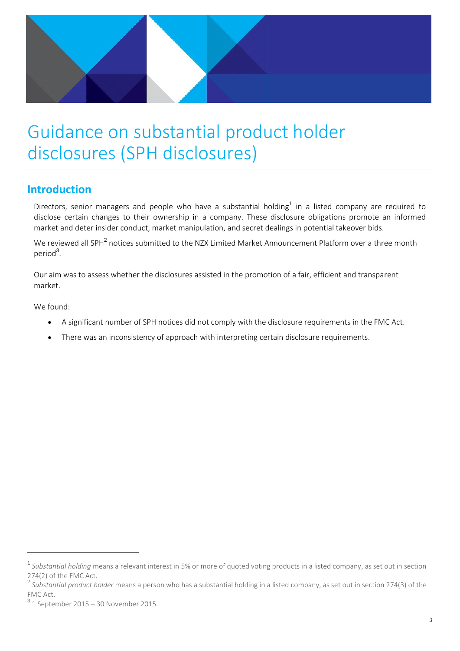

## Guidance on substantial product holder disclosures (SPH disclosures)

## **Introduction**

Directors, senior managers and people who have a substantial holding<sup>1</sup> in a listed company are required to disclose certain changes to their ownership in a company. These disclosure obligations promote an informed market and deter insider conduct, market manipulation, and secret dealings in potential takeover bids.

We reviewed all SPH<sup>2</sup> notices submitted to the NZX Limited Market Announcement Platform over a three month period<sup>3</sup>.

Our aim was to assess whether the disclosures assisted in the promotion of a fair, efficient and transparent market.

We found:

 $\overline{\phantom{a}}$ 

- A significant number of SPH notices did not comply with the disclosure requirements in the FMC Act.
- There was an inconsistency of approach with interpreting certain disclosure requirements.

<sup>&</sup>lt;sup>1</sup> Substantial holding means a relevant interest in 5% or more of quoted voting products in a listed company, as set out in section 274(2) of the FMC Act.

<sup>2</sup> *Substantial product holder* means a person who has a substantial holding in a listed company, as set out in section 274(3) of the FMC Act.

<sup>3</sup> 1 September 2015 – 30 November 2015.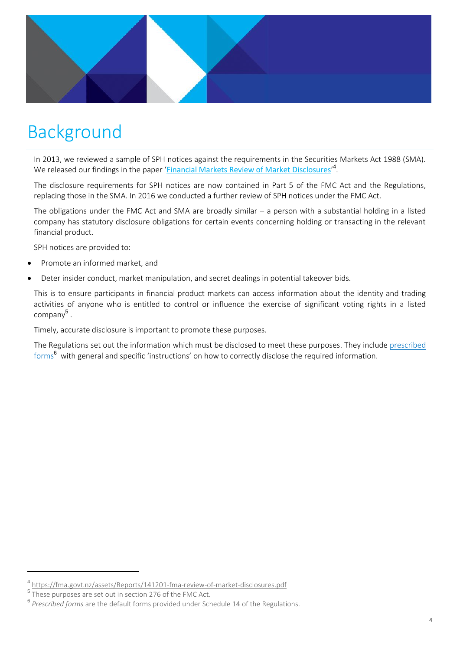

## Background

In 2013, we reviewed a sample of SPH notices against the requirements in the Securities Markets Act 1988 (SMA). We released our findings in the paper '<u>[Financial Markets Review of Market Disclosures](https://fma.govt.nz/news/reports-and-papers/monitoring-and-compliance-reports/fmas-review-of-market-disclosures/)</u>'<sup>4</sup>.

The disclosure requirements for SPH notices are now contained in Part 5 of the FMC Act and the Regulations, replacing those in the SMA. In 2016 we conducted a further review of SPH notices under the FMC Act.

The obligations under the FMC Act and SMA are broadly similar – a person with a substantial holding in a listed company has statutory disclosure obligations for certain events concerning holding or transacting in the relevant financial product.

SPH notices are provided to:

- Promote an informed market, and
- Deter insider conduct, market manipulation, and secret dealings in potential takeover bids.

This is to ensure participants in financial product markets can access information about the identity and trading activities of anyone who is entitled to control or influence the exercise of significant voting rights in a listed company<sup>5</sup>.

Timely, accurate disclosure is important to promote these purposes.

The Regulations set out the information which must be disclosed to meet these purposes. They include prescribed  ${\rm forms}^{\bf 6}$  with general and specific 'instructions' on how to correctly disclose the required information.

 $\overline{a}$ 

<sup>&</sup>lt;sup>4</sup> <https://fma.govt.nz/assets/Reports/141201-fma-review-of-market-disclosures.pdf>

<sup>&</sup>lt;sup>5</sup> These purposes are set out in section 276 of the FMC Act.

<sup>6</sup> *Prescribed forms* are the default forms provided under Schedule 14 of the Regulations.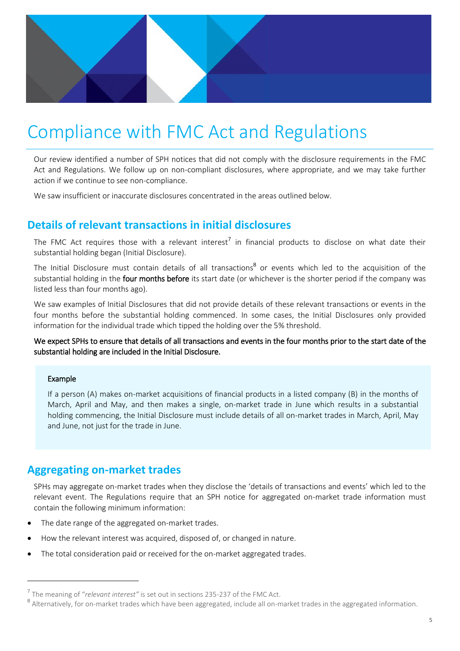

## Compliance with FMC Act and Regulations

Our review identified a number of SPH notices that did not comply with the disclosure requirements in the FMC Act and Regulations. We follow up on non-compliant disclosures, where appropriate, and we may take further action if we continue to see non-compliance.

We saw insufficient or inaccurate disclosures concentrated in the areas outlined below.

## **Details of relevant transactions in initial disclosures**

The FMC Act requires those with a relevant interest<sup>7</sup> in financial products to disclose on what date their substantial holding began (Initial Disclosure).

The Initial Disclosure must contain details of all transactions<sup>8</sup> or events which led to the acquisition of the substantial holding in the four months before its start date (or whichever is the shorter period if the company was listed less than four months ago).

We saw examples of Initial Disclosures that did not provide details of these relevant transactions or events in the four months before the substantial holding commenced. In some cases, the Initial Disclosures only provided information for the individual trade which tipped the holding over the 5% threshold.

We expect SPHs to ensure that details of all transactions and events in the four months prior to the start date of the substantial holding are included in the Initial Disclosure.

#### Example

 $\overline{a}$ 

If a person (A) makes on-market acquisitions of financial products in a listed company (B) in the months of March, April and May, and then makes a single, on-market trade in June which results in a substantial holding commencing, the Initial Disclosure must include details of all on-market trades in March, April, May and June, not just for the trade in June.

### **Aggregating on-market trades**

SPHs may aggregate on-market trades when they disclose the 'details of transactions and events' which led to the relevant event. The Regulations require that an SPH notice for aggregated on-market trade information must contain the following minimum information:

- The date range of the aggregated on-market trades.
- How the relevant interest was acquired, disposed of, or changed in nature.
- The total consideration paid or received for the on-market aggregated trades.

<sup>7</sup> The meaning of "*relevant interest"* is set out in sections 235-237 of the FMC Act.

<sup>&</sup>lt;sup>8</sup> Alternatively, for on-market trades which have been aggregated, include all on-market trades in the aggregated information.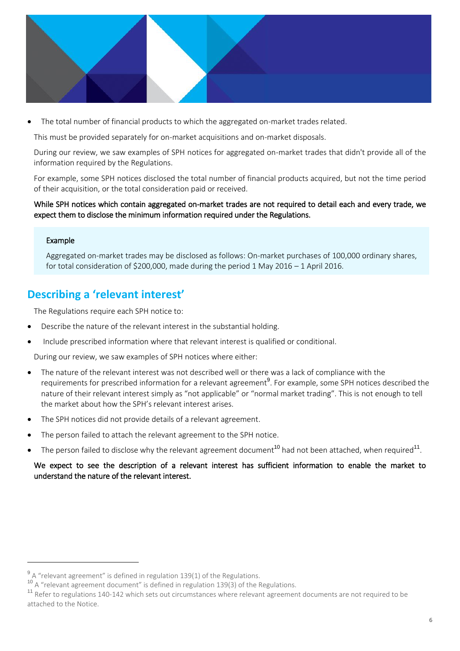

The total number of financial products to which the aggregated on-market trades related.

This must be provided separately for on-market acquisitions and on-market disposals.

During our review, we saw examples of SPH notices for aggregated on-market trades that didn't provide all of the information required by the Regulations.

For example, some SPH notices disclosed the total number of financial products acquired, but not the time period of their acquisition, or the total consideration paid or received.

While SPH notices which contain aggregated on-market trades are not required to detail each and every trade, we expect them to disclose the minimum information required under the Regulations.

#### Example

 $\overline{a}$ 

Aggregated on-market trades may be disclosed as follows: On-market purchases of 100,000 ordinary shares, for total consideration of \$200,000, made during the period 1 May 2016 – 1 April 2016.

### **Describing a 'relevant interest'**

The Regulations require each SPH notice to:

- Describe the nature of the relevant interest in the substantial holding.
- Include prescribed information where that relevant interest is qualified or conditional.

During our review, we saw examples of SPH notices where either:

- The nature of the relevant interest was not described well or there was a lack of compliance with the requirements for prescribed information for a relevant agreement<sup>9</sup>. For example, some SPH notices described the nature of their relevant interest simply as "not applicable" or "normal market trading". This is not enough to tell the market about how the SPH's relevant interest arises.
- The SPH notices did not provide details of a relevant agreement.
- The person failed to attach the relevant agreement to the SPH notice.
- $\bullet$  The person failed to disclose why the relevant agreement document<sup>10</sup> had not been attached, when required<sup>11</sup>.

We expect to see the description of a relevant interest has sufficient information to enable the market to understand the nature of the relevant interest.

 $^{9}$  A "relevant agreement" is defined in regulation 139(1) of the Regulations.

<sup>&</sup>lt;sup>10</sup> A "relevant agreement document" is defined in regulation 139(3) of the Regulations.

<sup>&</sup>lt;sup>11</sup> Refer to regulations 140-142 which sets out circumstances where relevant agreement documents are not required to be attached to the Notice.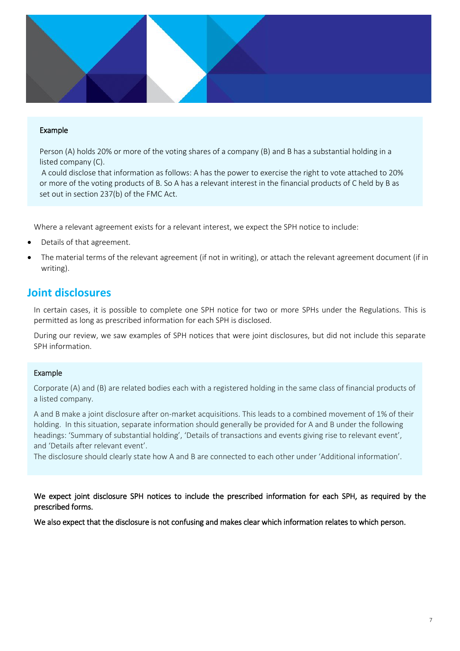

#### Example

Person (A) holds 20% or more of the voting shares of a company (B) and B has a substantial holding in a listed company (C).

A could disclose that information as follows: A has the power to exercise the right to vote attached to 20% or more of the voting products of B. So A has a relevant interest in the financial products of C held by B as set out in section 237(b) of the FMC Act.

Where a relevant agreement exists for a relevant interest, we expect the SPH notice to include:

- Details of that agreement.
- The material terms of the relevant agreement (if not in writing), or attach the relevant agreement document (if in writing).

### **Joint disclosures**

In certain cases, it is possible to complete one SPH notice for two or more SPHs under the Regulations. This is permitted as long as prescribed information for each SPH is disclosed.

During our review, we saw examples of SPH notices that were joint disclosures, but did not include this separate SPH information.

#### Example

Corporate (A) and (B) are related bodies each with a registered holding in the same class of financial products of a listed company.

A and B make a joint disclosure after on-market acquisitions. This leads to a combined movement of 1% of their holding. In this situation, separate information should generally be provided for A and B under the following headings: 'Summary of substantial holding', 'Details of transactions and events giving rise to relevant event', and 'Details after relevant event'.

The disclosure should clearly state how A and B are connected to each other under 'Additional information'.

We expect joint disclosure SPH notices to include the prescribed information for each SPH, as required by the prescribed forms.

We also expect that the disclosure is not confusing and makes clear which information relates to which person.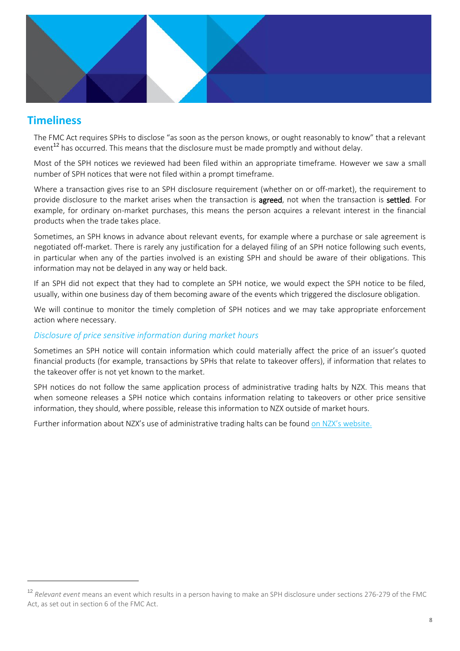

## **Timeliness**

 $\overline{a}$ 

The FMC Act requires SPHs to disclose "as soon as the person knows, or ought reasonably to know" that a relevant event<sup>12</sup> has occurred. This means that the disclosure must be made promptly and without delay.

Most of the SPH notices we reviewed had been filed within an appropriate timeframe. However we saw a small number of SPH notices that were not filed within a prompt timeframe.

Where a transaction gives rise to an SPH disclosure requirement (whether on or off-market), the requirement to provide disclosure to the market arises when the transaction is **agreed**, not when the transaction is settled. For example, for ordinary on-market purchases, this means the person acquires a relevant interest in the financial products when the trade takes place.

Sometimes, an SPH knows in advance about relevant events, for example where a purchase or sale agreement is negotiated off-market. There is rarely any justification for a delayed filing of an SPH notice following such events, in particular when any of the parties involved is an existing SPH and should be aware of their obligations. This information may not be delayed in any way or held back.

If an SPH did not expect that they had to complete an SPH notice, we would expect the SPH notice to be filed, usually, within one business day of them becoming aware of the events which triggered the disclosure obligation.

We will continue to monitor the timely completion of SPH notices and we may take appropriate enforcement action where necessary.

#### *Disclosure of price sensitive information during market hours*

Sometimes an SPH notice will contain information which could materially affect the price of an issuer's quoted financial products (for example, transactions by SPHs that relate to takeover offers), if information that relates to the takeover offer is not yet known to the market.

SPH notices do not follow the same application process of administrative trading halts by NZX. This means that when someone releases a SPH notice which contains information relating to takeovers or other price sensitive information, they should, where possible, release this information to NZX outside of market hours.

Further information about NZX's use of administrative trading halts can be found [on NZX's website](https://www.nzx.com/regulation/listing-rule-guidance.).

<sup>12</sup> *Relevant event* means an event which results in a person having to make an SPH disclosure under sections 276-279 of the FMC Act, as set out in section 6 of the FMC Act.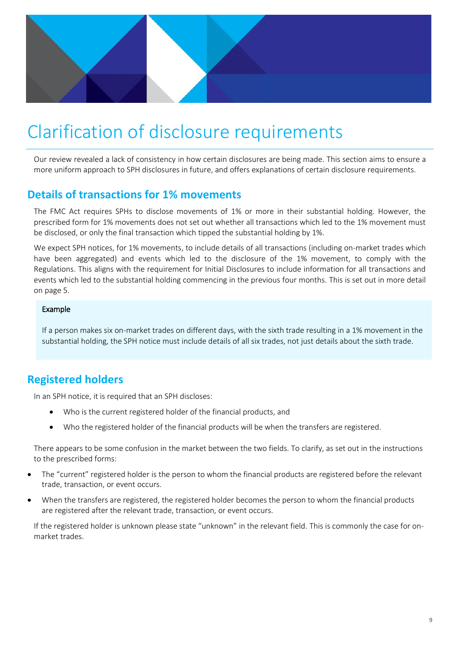

## Clarification of disclosure requirements

Our review revealed a lack of consistency in how certain disclosures are being made. This section aims to ensure a more uniform approach to SPH disclosures in future, and offers explanations of certain disclosure requirements.

### **Details of transactions for 1% movements**

The FMC Act requires SPHs to disclose movements of 1% or more in their substantial holding. However, the prescribed form for 1% movements does not set out whether all transactions which led to the 1% movement must be disclosed, or only the final transaction which tipped the substantial holding by 1%.

We expect SPH notices, for 1% movements, to include details of all transactions (including on-market trades which have been aggregated) and events which led to the disclosure of the 1% movement, to comply with the Regulations. This aligns with the requirement for Initial Disclosures to include information for all transactions and events which led to the substantial holding commencing in the previous four months. This is set out in more detail on page 5.

#### Example

If a person makes six on-market trades on different days, with the sixth trade resulting in a 1% movement in the substantial holding, the SPH notice must include details of all six trades, not just details about the sixth trade.

## **Registered holders**

In an SPH notice, it is required that an SPH discloses:

- Who is the current registered holder of the financial products, and
- Who the registered holder of the financial products will be when the transfers are registered.

There appears to be some confusion in the market between the two fields. To clarify, as set out in the instructions to the prescribed forms:

- The "current" registered holder is the person to whom the financial products are registered before the relevant trade, transaction, or event occurs.
- When the transfers are registered, the registered holder becomes the person to whom the financial products are registered after the relevant trade, transaction, or event occurs.

If the registered holder is unknown please state "unknown" in the relevant field. This is commonly the case for onmarket trades.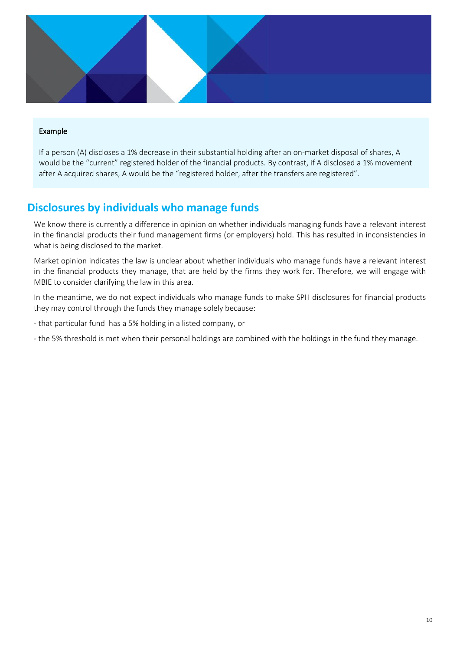

#### Example

If a person (A) discloses a 1% decrease in their substantial holding after an on-market disposal of shares, A would be the "current" registered holder of the financial products. By contrast, if A disclosed a 1% movement after A acquired shares, A would be the "registered holder, after the transfers are registered".

### **Disclosures by individuals who manage funds**

We know there is currently a difference in opinion on whether individuals managing funds have a relevant interest in the financial products their fund management firms (or employers) hold. This has resulted in inconsistencies in what is being disclosed to the market.

Market opinion indicates the law is unclear about whether individuals who manage funds have a relevant interest in the financial products they manage, that are held by the firms they work for. Therefore, we will engage with MBIE to consider clarifying the law in this area.

In the meantime, we do not expect individuals who manage funds to make SPH disclosures for financial products they may control through the funds they manage solely because:

- that particular fund has a 5% holding in a listed company, or

- the 5% threshold is met when their personal holdings are combined with the holdings in the fund they manage.